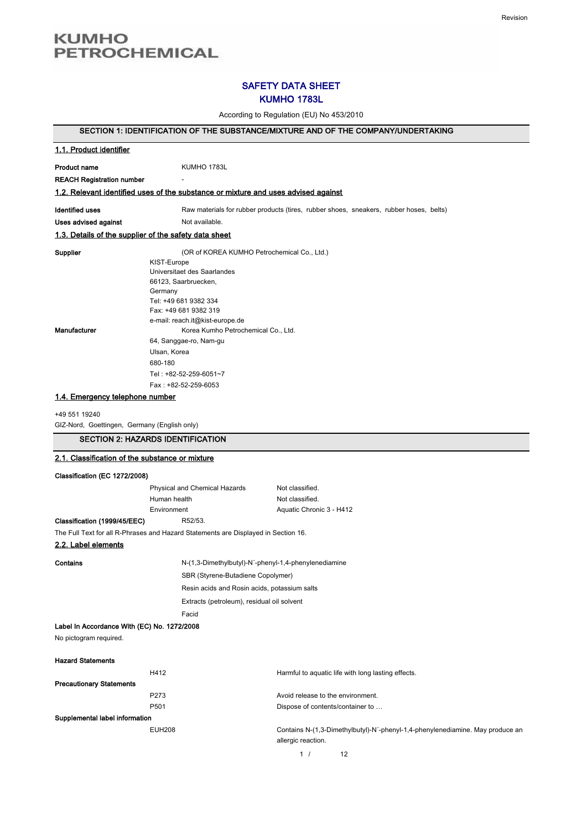# **KUMHO PETROCHEMICAL**

# SAFETY DATA SHEET KUMHO 1783L

According to Regulation (EU) No 453/2010

# SECTION 1: IDENTIFICATION OF THE SUBSTANCE/MIXTURE AND OF THE COMPANY/UNDERTAKING

| 1.1. Product identifier                                       |                                                                                                                                                                                                                                                                |                                                                                                     |
|---------------------------------------------------------------|----------------------------------------------------------------------------------------------------------------------------------------------------------------------------------------------------------------------------------------------------------------|-----------------------------------------------------------------------------------------------------|
| <b>Product name</b>                                           | KUMHO 1783L                                                                                                                                                                                                                                                    |                                                                                                     |
| <b>REACH Registration number</b>                              |                                                                                                                                                                                                                                                                |                                                                                                     |
|                                                               | 1.2. Relevant identified uses of the substance or mixture and uses advised against                                                                                                                                                                             |                                                                                                     |
| <b>Identified uses</b>                                        |                                                                                                                                                                                                                                                                | Raw materials for rubber products (tires, rubber shoes, sneakers, rubber hoses, belts)              |
| Uses advised against                                          | Not available.                                                                                                                                                                                                                                                 |                                                                                                     |
| 1.3. Details of the supplier of the safety data sheet         |                                                                                                                                                                                                                                                                |                                                                                                     |
| Supplier                                                      | (OR of KOREA KUMHO Petrochemical Co., Ltd.)                                                                                                                                                                                                                    |                                                                                                     |
| Manufacturer                                                  | KIST-Europe<br>Universitaet des Saarlandes<br>66123, Saarbruecken,<br>Germany<br>Tel: +49 681 9382 334<br>Fax: +49 681 9382 319<br>e-mail: reach.it@kist-europe.de<br>Korea Kumho Petrochemical Co., Ltd.<br>64, Sanggae-ro, Nam-gu<br>Ulsan, Korea<br>680-180 |                                                                                                     |
|                                                               | Tel: +82-52-259-6051~7                                                                                                                                                                                                                                         |                                                                                                     |
|                                                               | Fax: +82-52-259-6053                                                                                                                                                                                                                                           |                                                                                                     |
| 1.4. Emergency telephone number                               |                                                                                                                                                                                                                                                                |                                                                                                     |
| +49 551 19240<br>GIZ-Nord, Goettingen, Germany (English only) |                                                                                                                                                                                                                                                                |                                                                                                     |
|                                                               | <b>SECTION 2: HAZARDS IDENTIFICATION</b>                                                                                                                                                                                                                       |                                                                                                     |
| 2.1. Classification of the substance or mixture               |                                                                                                                                                                                                                                                                |                                                                                                     |
| Classification (EC 1272/2008)                                 |                                                                                                                                                                                                                                                                |                                                                                                     |
|                                                               | Physical and Chemical Hazards                                                                                                                                                                                                                                  | Not classified.                                                                                     |
|                                                               | Human health                                                                                                                                                                                                                                                   | Not classified.                                                                                     |
|                                                               | Environment                                                                                                                                                                                                                                                    | Aquatic Chronic 3 - H412                                                                            |
| Classification (1999/45/EEC)                                  | R52/53.                                                                                                                                                                                                                                                        |                                                                                                     |
|                                                               | The Full Text for all R-Phrases and Hazard Statements are Displayed in Section 16.                                                                                                                                                                             |                                                                                                     |
| 2.2. Label elements                                           |                                                                                                                                                                                                                                                                |                                                                                                     |
| Contains                                                      | N-(1,3-Dimethylbutyl)-N'-phenyl-1,4-phenylenediamine                                                                                                                                                                                                           |                                                                                                     |
|                                                               | SBR (Styrene-Butadiene Copolymer)                                                                                                                                                                                                                              |                                                                                                     |
|                                                               | Resin acids and Rosin acids, potassium salts                                                                                                                                                                                                                   |                                                                                                     |
|                                                               | Extracts (petroleum), residual oil solvent                                                                                                                                                                                                                     |                                                                                                     |
|                                                               | Facid                                                                                                                                                                                                                                                          |                                                                                                     |
| Label In Accordance With (EC) No. 1272/2008                   |                                                                                                                                                                                                                                                                |                                                                                                     |
| No pictogram required.                                        |                                                                                                                                                                                                                                                                |                                                                                                     |
| <b>Hazard Statements</b>                                      |                                                                                                                                                                                                                                                                |                                                                                                     |
|                                                               | H412                                                                                                                                                                                                                                                           | Harmful to aquatic life with long lasting effects.                                                  |
| <b>Precautionary Statements</b>                               | P273                                                                                                                                                                                                                                                           | Avoid release to the environment.                                                                   |
|                                                               | P501                                                                                                                                                                                                                                                           | Dispose of contents/container to                                                                    |
| Supplemental label information                                |                                                                                                                                                                                                                                                                |                                                                                                     |
|                                                               | <b>EUH208</b>                                                                                                                                                                                                                                                  | Contains N-(1,3-Dimethylbutyl)-N'-phenyl-1,4-phenylenediamine. May produce an<br>allergic reaction. |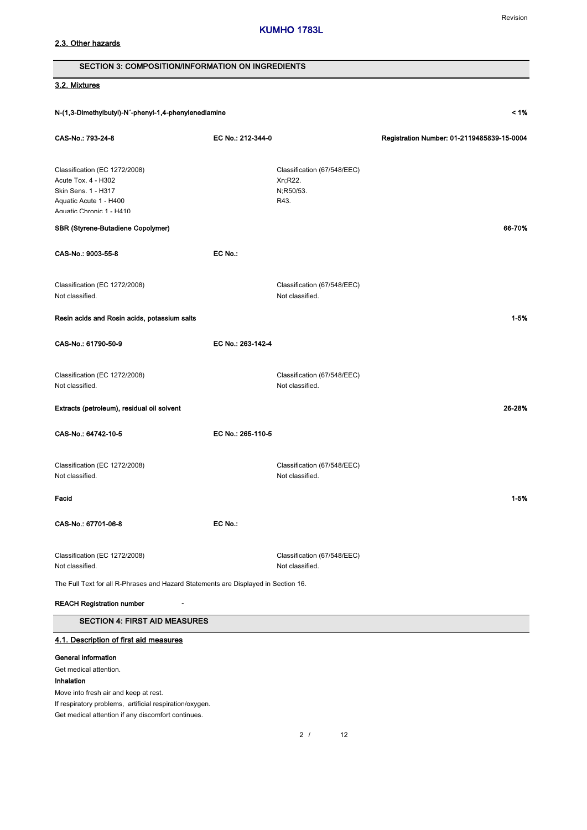# 2.3. Other hazards

# Revision

| <b>SECTION 3: COMPOSITION/INFORMATION ON INGREDIENTS</b>                                                                          |                   |                                                             |                                            |
|-----------------------------------------------------------------------------------------------------------------------------------|-------------------|-------------------------------------------------------------|--------------------------------------------|
| 3.2. Mixtures                                                                                                                     |                   |                                                             |                                            |
| N-(1,3-Dimethylbutyl)-N'-phenyl-1,4-phenylenediamine                                                                              |                   |                                                             | 1%                                         |
| CAS-No.: 793-24-8                                                                                                                 | EC No.: 212-344-0 |                                                             | Registration Number: 01-2119485839-15-0004 |
| Classification (EC 1272/2008)<br>Acute Tox. 4 - H302<br>Skin Sens. 1 - H317<br>Aquatic Acute 1 - H400<br>Anuatic Chronic 1 - H410 |                   | Classification (67/548/EEC)<br>Xn;R22.<br>N;R50/53.<br>R43. |                                            |
| SBR (Styrene-Butadiene Copolymer)                                                                                                 |                   |                                                             | 66-70%                                     |
| CAS-No.: 9003-55-8                                                                                                                | EC No.:           |                                                             |                                            |
| Classification (EC 1272/2008)<br>Not classified.                                                                                  |                   | Classification (67/548/EEC)<br>Not classified.              |                                            |
| Resin acids and Rosin acids, potassium salts                                                                                      |                   |                                                             | $1 - 5%$                                   |
| CAS-No.: 61790-50-9                                                                                                               | EC No.: 263-142-4 |                                                             |                                            |
| Classification (EC 1272/2008)<br>Not classified.                                                                                  |                   | Classification (67/548/EEC)<br>Not classified.              |                                            |
| Extracts (petroleum), residual oil solvent                                                                                        |                   |                                                             | 26-28%                                     |
| CAS-No.: 64742-10-5                                                                                                               | EC No.: 265-110-5 |                                                             |                                            |
| Classification (EC 1272/2008)<br>Not classified.                                                                                  |                   | Classification (67/548/EEC)<br>Not classified.              |                                            |
| Facid                                                                                                                             |                   |                                                             | $1 - 5%$                                   |
| CAS-No.: 67701-06-8                                                                                                               | EC No.:           |                                                             |                                            |
| Classification (EC 1272/2008)<br>Not classified.                                                                                  |                   | Classification (67/548/EEC)<br>Not classified.              |                                            |
| The Full Text for all R-Phrases and Hazard Statements are Displayed in Section 16.                                                |                   |                                                             |                                            |
| <b>REACH Registration number</b>                                                                                                  |                   |                                                             |                                            |
| <b>SECTION 4: FIRST AID MEASURES</b>                                                                                              |                   |                                                             |                                            |
| 4.1. Description of first aid measures                                                                                            |                   |                                                             |                                            |
| <b>General information</b><br>Get medical attention.                                                                              |                   |                                                             |                                            |

Inhalation

Move into fresh air and keep at rest.

If respiratory problems, artificial respiration/oxygen.

Get medical attention if any discomfort continues.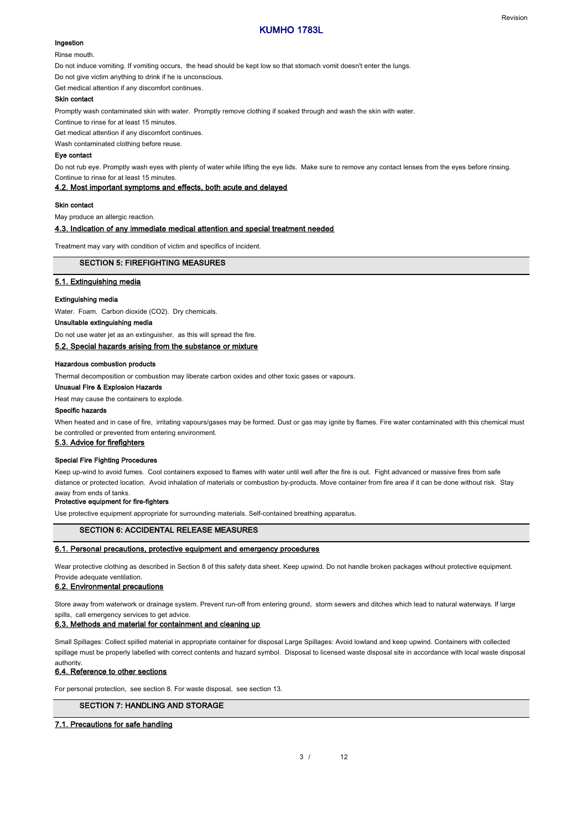### Ingestion

Rinse mouth.

Do not induce vomiting. If vomiting occurs, the head should be kept low so that stomach vomit doesn't enter the lungs.

Do not give victim anything to drink if he is unconscious.

Get medical attention if any discomfort continues.

### Skin contact

Promptly wash contaminated skin with water. Promptly remove clothing if soaked through and wash the skin with water.

Continue to rinse for at least 15 minutes.

Get medical attention if any discomfort continues.

Wash contaminated clothing before reuse.

### Eye contact

Do not rub eye. Promptly wash eyes with plenty of water while lifting the eye lids. Make sure to remove any contact lenses from the eyes before rinsing. Continue to rinse for at least 15 minutes.

4.2. Most important symptoms and effects, both acute and delayed

#### Skin contact

May produce an allergic reaction.

#### 4.3. Indication of any immediate medical attention and special treatment needed

Treatment may vary with condition of victim and specifics of incident.

#### SECTION 5: FIREFIGHTING MEASURES

### 5.1. Extinguishing media

### Extinguishing media

Water. Foam. Carbon dioxide (CO2). Dry chemicals.

### Unsuitable extinguishing media

Do not use water jet as an extinguisher, as this will spread the fire.

### 5.2. Special hazards arising from the substance or mixture

### Hazardous combustion products

Thermal decomposition or combustion may liberate carbon oxides and other toxic gases or vapours.

### Unusual Fire & Explosion Hazards

Heat may cause the containers to explode.

#### Specific hazards

When heated and in case of fire, irritating vapours/gases may be formed. Dust or gas may ignite by flames. Fire water contaminated with this chemical must be controlled or prevented from entering environment.

# 5.3. Advice for firefighters

### Special Fire Fighting Procedures

Keep up-wind to avoid fumes. Cool containers exposed to flames with water until well after the fire is out. Fight advanced or massive fires from safe distance or protected location. Avoid inhalation of materials or combustion by-products. Move container from fire area if it can be done without risk. Stay away from ends of tanks.

#### Protective equipment for fire-fighters

Use protective equipment appropriate for surrounding materials. Self-contained breathing apparatus.

#### SECTION 6: ACCIDENTAL RELEASE MEASURES

### 6.1. Personal precautions, protective equipment and emergency procedures

Wear protective clothing as described in Section 8 of this safety data sheet. Keep upwind. Do not handle broken packages without protective equipment. Provide adequate ventilation.

### 6.2. Environmental precautions

Store away from waterwork or drainage system. Prevent run-off from entering ground, storm sewers and ditches which lead to natural waterways. If large spills, call emergency services to get advice.

### 6.3. Methods and material for containment and cleaning up

Small Spillages: Collect spilled material in appropriate container for disposal Large Spillages: Avoid lowland and keep upwind. Containers with collected spillage must be properly labelled with correct contents and hazard symbol. Disposal to licensed waste disposal site in accordance with local waste disposal authority.

### 6.4. Reference to other sections

For personal protection, see section 8. For waste disposal, see section 13.

# SECTION 7: HANDLING AND STORAGE

### 7.1. Precautions for safe handling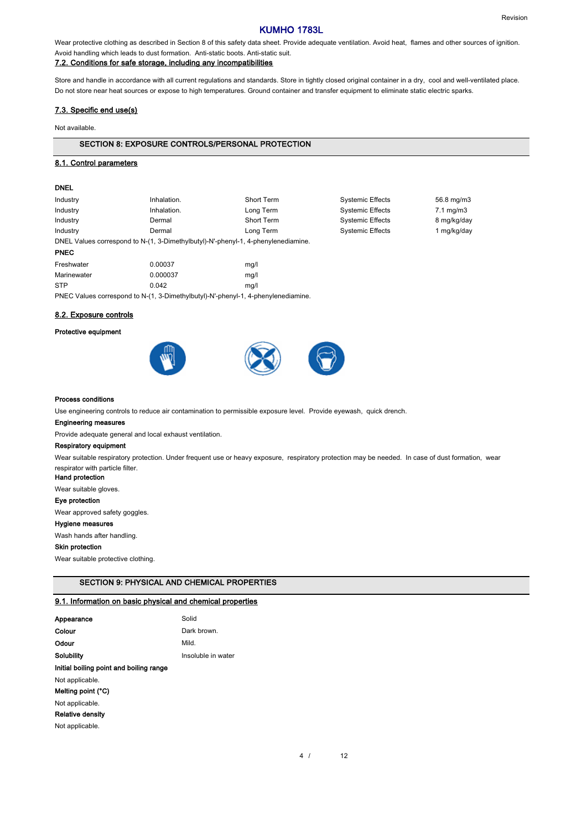Wear protective clothing as described in Section 8 of this safety data sheet. Provide adequate ventilation. Avoid heat, flames and other sources of ignition. Avoid handling which leads to dust formation. Anti-static boots. Anti-static suit.

# 7.2. Conditions for safe storage, including any incompatibilities

Store and handle in accordance with all current regulations and standards. Store in tightly closed original container in a dry, cool and well-ventilated place. Do not store near heat sources or expose to high temperatures. Ground container and transfer equipment to eliminate static electric sparks.

### 7.3. Specific end use(s)

Not available.

### SECTION 8: EXPOSURE CONTROLS/PERSONAL PROTECTION

### 8.1. Control parameters

### DNEL

| Industry                                                                          | Inhalation.                                                                       | <b>Short Term</b> | <b>Systemic Effects</b> | 56.8 mg/m3           |
|-----------------------------------------------------------------------------------|-----------------------------------------------------------------------------------|-------------------|-------------------------|----------------------|
| Industry                                                                          | Inhalation.                                                                       | Long Term         | <b>Systemic Effects</b> | $7.1 \text{ mg/m}$ 3 |
| Industry                                                                          | Dermal                                                                            | <b>Short Term</b> | <b>Systemic Effects</b> | 8 mg/kg/day          |
| Industry                                                                          | Dermal                                                                            | Long Term         | <b>Systemic Effects</b> | 1 mg/kg/day          |
| DNEL Values correspond to N-(1, 3-Dimethylbutyl)-N'-phenyl-1, 4-phenylenediamine. |                                                                                   |                   |                         |                      |
| <b>PNEC</b>                                                                       |                                                                                   |                   |                         |                      |
| Freshwater                                                                        | 0.00037                                                                           | mg/l              |                         |                      |
| Marinewater                                                                       | 0.000037                                                                          | mq/l              |                         |                      |
| <b>STP</b>                                                                        | 0.042                                                                             | mq/l              |                         |                      |
|                                                                                   | PNEC Values correspond to N-(1, 3-Dimethylbutyl)-N'-phenyl-1, 4-phenylenediamine. |                   |                         |                      |

# 8.2. Exposure controls

### Protective equipment





#### Process conditions

Use engineering controls to reduce air contamination to permissible exposure level. Provide eyewash, quick drench.

### Engineering measures

Provide adequate general and local exhaust ventilation.

### Respiratory equipment

Wear suitable respiratory protection. Under frequent use or heavy exposure, respiratory protection may be needed. In case of dust formation, wear respirator with particle filter.

# Hand protection

Wear suitable gloves.

### Eye protection

Wear approved safety goggles.

### Hygiene measures

Wash hands after handling.

### Skin protection

Wear suitable protective clothing.

# SECTION 9: PHYSICAL AND CHEMICAL PROPERTIES

# 9.1. Information on basic physical and chemical properties

| Appearance                              | Solid              |
|-----------------------------------------|--------------------|
| Colour                                  | Dark brown.        |
| Odour                                   | Mild.              |
| Solubility                              | Insoluble in water |
| Initial boiling point and boiling range |                    |
| Not applicable.                         |                    |
| Melting point (°C)                      |                    |
| Not applicable.                         |                    |
| <b>Relative density</b>                 |                    |
| Not applicable.                         |                    |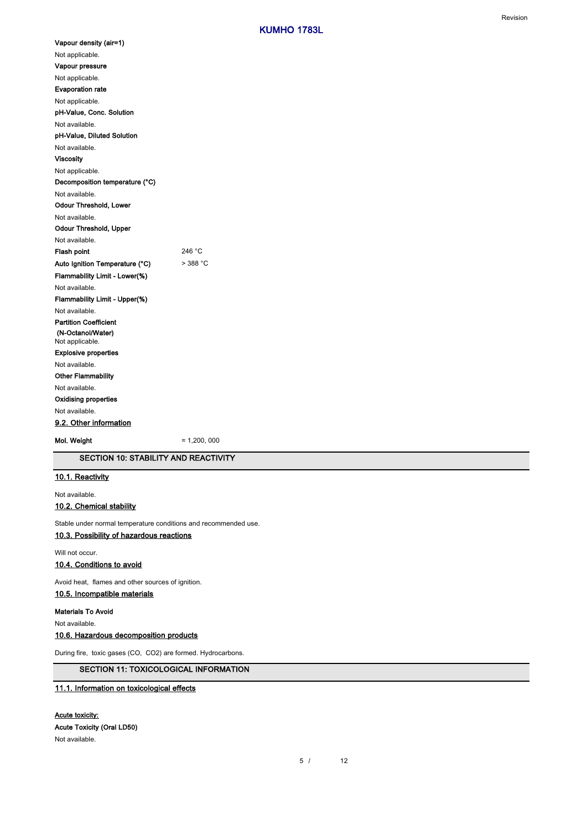| Vapour density (air=1)         |            |
|--------------------------------|------------|
| Not applicable.                |            |
| Vapour pressure                |            |
| Not applicable.                |            |
| <b>Evaporation rate</b>        |            |
| Not applicable.                |            |
| pH-Value, Conc. Solution       |            |
| Not available.                 |            |
| pH-Value, Diluted Solution     |            |
| Not available.                 |            |
| Viscosity                      |            |
| Not applicable.                |            |
| Decomposition temperature (°C) |            |
| Not available.                 |            |
| Odour Threshold, Lower         |            |
| Not available.                 |            |
| Odour Threshold, Upper         |            |
| Not available.                 |            |
|                                |            |
| <b>Flash point</b>             | 246 °C     |
| Auto Ignition Temperature (°C) | $>$ 388 °C |
| Flammability Limit - Lower(%)  |            |
| Not available.                 |            |
| Flammability Limit - Upper(%)  |            |
| Not available.                 |            |
| <b>Partition Coefficient</b>   |            |
| (N-Octanol/Water)              |            |
| Not applicable.                |            |
| <b>Explosive properties</b>    |            |
| Not available.                 |            |
| <b>Other Flammability</b>      |            |
| Not available.                 |            |
| Oxidising properties           |            |
| Not available.                 |            |
| 9.2. Other information         |            |

SECTION 10: STABILITY AND REACTIVITY

# 10.1. Reactivity

Not available.

### 10.2. Chemical stability

Stable under normal temperature conditions and recommended use.

# 10.3. Possibility of hazardous reactions

Will not occur.

# 10.4. Conditions to avoid

Avoid heat, flames and other sources of ignition.

# 10.5. Incompatible materials

Materials To Avoid

Not available.

# 10.6. Hazardous decomposition products

During fire, toxic gases (CO, CO2) are formed. Hydrocarbons.

# SECTION 11: TOXICOLOGICAL INFORMATION

# 11.1. Information on toxicological effects

# Acute toxicity:

Acute Toxicity (Oral LD50) Not available.

> $12$ 5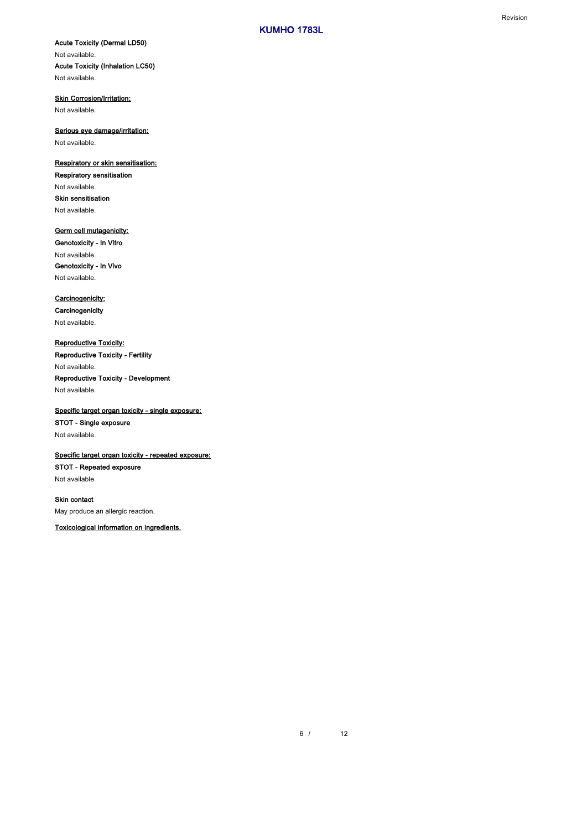**Skin Corrosion/Irritation:** 

Not available.

Serious eye damage/irritation:

Not available.

# Respiratory or skin sensitisation:

Respiratory sensitisation Not available. Skin sensitisation Not available.

# Germ cell mutagenicity:

Genotoxicity - In Vitro Not available. Genotoxicity - In Vivo Not available.

# Carcinogenicity:

**Carcinogenicity** Not available.

# Reproductive Toxicity:

Reproductive Toxicity - Fertility Not available.

# Reproductive Toxicity - Development Not available.

Specific target organ toxicity - single exposure: STOT - Single exposure Not available.

# Specific target organ toxicity - repeated exposure:

STOT - Repeated exposure

Not available.

# Skin contact May produce an allergic reaction.

Toxicological information on ingredients.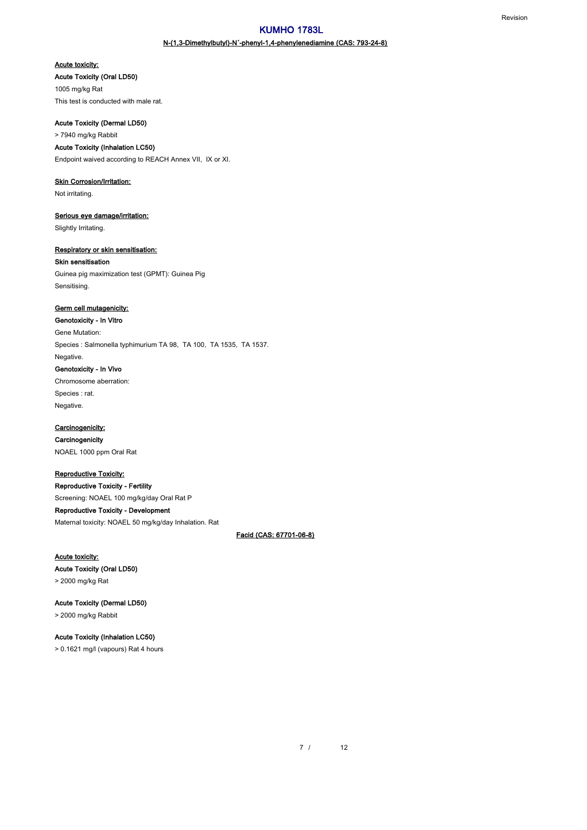# N-(1,3-Dimethylbutyl)-N´-phenyl-1,4-phenylenediamine (CAS: 793-24-8)

### Acute toxicity:

### Acute Toxicity (Oral LD50)

1005 mg/kg Rat This test is conducted with male rat.

# Acute Toxicity (Dermal LD50)

> 7940 mg/kg Rabbit

# Acute Toxicity (Inhalation LC50)

Endpoint waived according to REACH Annex VII, IX or XI.

# Skin Corrosion/Irritation:

Not irritating.

### Serious eye damage/irritation:

Slightly Irritating.

### Respiratory or skin sensitisation:

### Skin sensitisation

Guinea pig maximization test (GPMT): Guinea Pig Sensitising.

# Germ cell mutagenicity:

Genotoxicity - In Vitro Gene Mutation: Species : Salmonella typhimurium TA 98, TA 100, TA 1535, TA 1537. Negative. Genotoxicity - In Vivo Chromosome aberration: Species : rat. Negative.

### Carcinogenicity:

**Carcinogenicity** NOAEL 1000 ppm Oral Rat

# Reproductive Toxicity:

Reproductive Toxicity - Fertility Screening: NOAEL 100 mg/kg/day Oral Rat P Reproductive Toxicity - Development Maternal toxicity: NOAEL 50 mg/kg/day Inhalation. Rat

### Facid (CAS: 67701-06-8)

# Acute toxicity:

Acute Toxicity (Oral LD50)

> 2000 mg/kg Rat

# Acute Toxicity (Dermal LD50) > 2000 mg/kg Rabbit

# Acute Toxicity (Inhalation LC50)

> 0.1621 mg/l (vapours) Rat 4 hours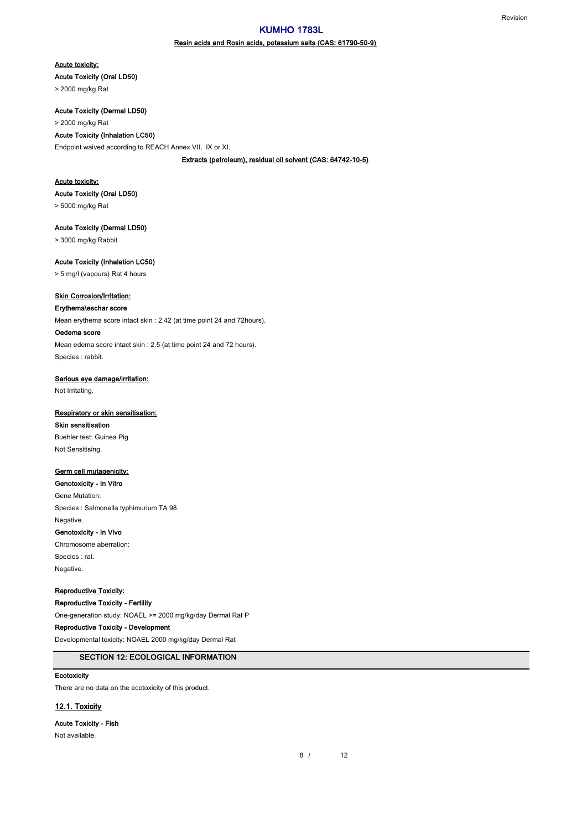### Resin acids and Rosin acids, potassium salts (CAS: 61790-50-9)

Acute toxicity:

Acute Toxicity (Oral LD50)

> 2000 mg/kg Rat

Acute Toxicity (Dermal LD50)

### > 2000 mg/kg Rat

Acute Toxicity (Inhalation LC50)

Endpoint waived according to REACH Annex VII, IX or XI.

Extracts (petroleum), residual oil solvent (CAS: 64742-10-5)

### Acute toxicity:

Acute Toxicity (Oral LD50)

> 5000 mg/kg Rat

Acute Toxicity (Dermal LD50)

> 3000 mg/kg Rabbit

Acute Toxicity (Inhalation LC50)

> 5 mg/l (vapours) Rat 4 hours

# **Skin Corrosion/Irritation:**

# Erythema\eschar score

Mean erythema score intact skin : 2.42 (at time point 24 and 72hours).

### Oedema score

Mean edema score intact skin : 2.5 (at time point 24 and 72 hours). Species : rabbit.

### Serious eye damage/irritation:

Not Irritating.

#### Respiratory or skin sensitisation:

Skin sensitisation Buehler test: Guinea Pig Not Sensitising.

### Germ cell mutagenicity:

Genotoxicity - In Vitro Gene Mutation: Species : Salmonella typhimurium TA 98. Negative. Genotoxicity - In Vivo

Chromosome aberration: Species : rat. Negative.

# Reproductive Toxicity:

Reproductive Toxicity - Fertility

One-generation study: NOAEL >= 2000 mg/kg/day Dermal Rat P

# Reproductive Toxicity - Development

Developmental toxicity: NOAEL 2000 mg/kg/day Dermal Rat

# SECTION 12: ECOLOGICAL INFORMATION

### Ecotoxicity

There are no data on the ecotoxicity of this product.

# 12.1. Toxicity

Acute Toxicity - Fish

Not available.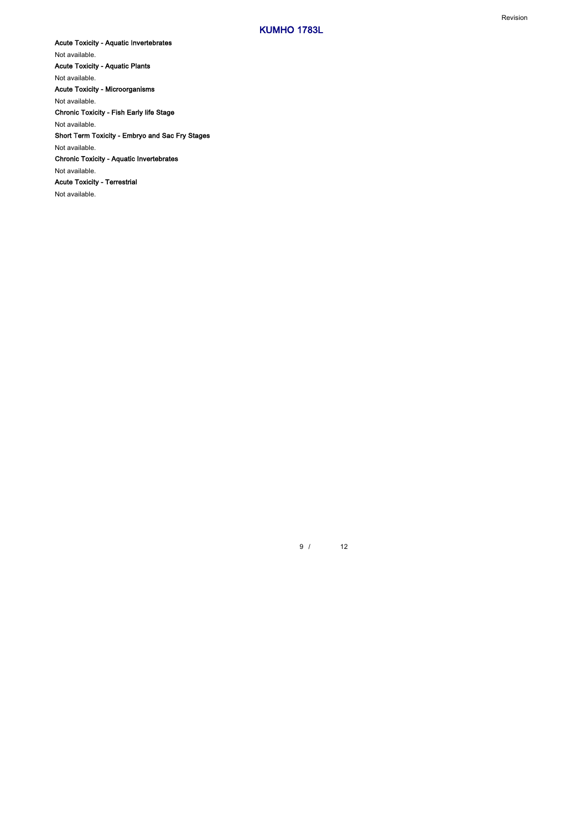Acute Toxicity - Aquatic Invertebrates Not available. Acute Toxicity - Aquatic Plants Not available. Acute Toxicity - Microorganisms Not available. Chronic Toxicity - Fish Early life Stage Not available. Short Term Toxicity - Embryo and Sac Fry Stages Not available. Chronic Toxicity - Aquatic Invertebrates Not available. Acute Toxicity - Terrestrial Not available.

> $12$ 9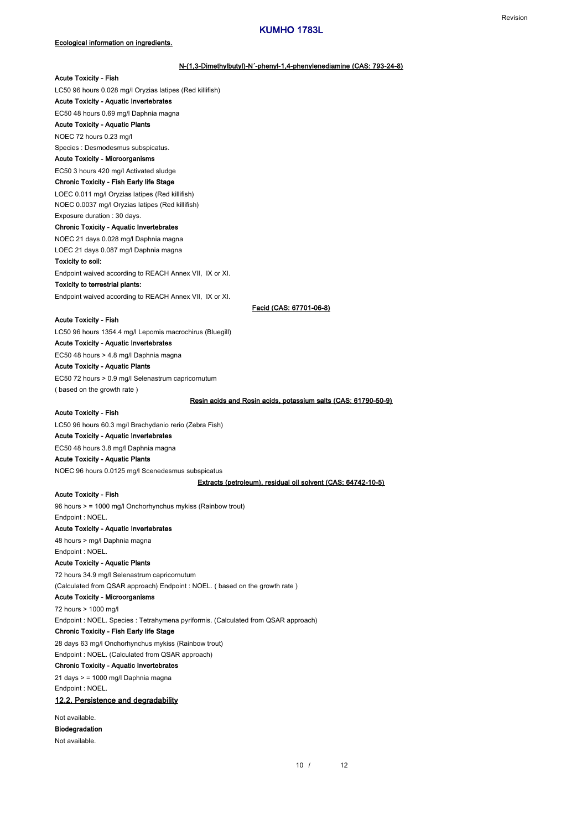### N-(1,3-Dimethylbutyl)-N´-phenyl-1,4-phenylenediamine (CAS: 793-24-8)

# Acute Toxicity - Fish

LC50 96 hours 0.028 mg/l Oryzias latipes (Red killifish)

Acute Toxicity - Aquatic Invertebrates

# EC50 48 hours 0.69 mg/l Daphnia magna

Acute Toxicity - Aquatic Plants

NOEC 72 hours 0.23 mg/l

Species : Desmodesmus subspicatus.

# Acute Toxicity - Microorganisms

EC50 3 hours 420 mg/l Activated sludge

### Chronic Toxicity - Fish Early life Stage

LOEC 0.011 mg/l Oryzias latipes (Red killifish) NOEC 0.0037 mg/l Oryzias latipes (Red killifish) Exposure duration : 30 days.

### Chronic Toxicity - Aquatic Invertebrates

NOEC 21 days 0.028 mg/l Daphnia magna

LOEC 21 days 0.087 mg/l Daphnia magna

### Toxicity to soil:

Endpoint waived according to REACH Annex VII, IX or XI.

### Toxicity to terrestrial plants:

Endpoint waived according to REACH Annex VII, IX or XI.

Facid (CAS: 67701-06-8)

### Acute Toxicity - Fish

LC50 96 hours 1354.4 mg/l Lepomis macrochirus (Bluegill) Acute Toxicity - Aquatic Invertebrates EC50 48 hours > 4.8 mg/l Daphnia magna Acute Toxicity - Aquatic Plants EC50 72 hours > 0.9 mg/l Selenastrum capricornutum

( based on the growth rate )

# Resin acids and Rosin acids, potassium salts (CAS: 61790-50-9)

# Acute Toxicity - Fish

LC50 96 hours 60.3 mg/l Brachydanio rerio (Zebra Fish)

# Acute Toxicity - Aquatic Invertebrates

EC50 48 hours 3.8 mg/l Daphnia magna

# Acute Toxicity - Aquatic Plants NOEC 96 hours 0.0125 mg/l Scenedesmus subspicatus

Extracts (petroleum), residual oil solvent (CAS: 64742-10-5)

### Acute Toxicity - Fish

96 hours > = 1000 mg/l Onchorhynchus mykiss (Rainbow trout) Endpoint : NOEL.

# Acute Toxicity - Aquatic Invertebrates

48 hours > mg/l Daphnia magna Endpoint : NOEL.

# Acute Toxicity - Aquatic Plants

72 hours 34.9 mg/l Selenastrum capricornutum (Calculated from QSAR approach) Endpoint : NOEL. ( based on the growth rate )

# Acute Toxicity - Microorganisms

72 hours > 1000 mg/l Endpoint : NOEL. Species : Tetrahymena pyriformis. (Calculated from QSAR approach)

### Chronic Toxicity - Fish Early life Stage

28 days 63 mg/l Onchorhynchus mykiss (Rainbow trout) Endpoint : NOEL. (Calculated from QSAR approach)

# Chronic Toxicity - Aquatic Invertebrates

21 days > = 1000 mg/l Daphnia magna Endpoint : NOEL.

# 12.2. Persistence and degradability

Not available. Biodegradation

### Not available.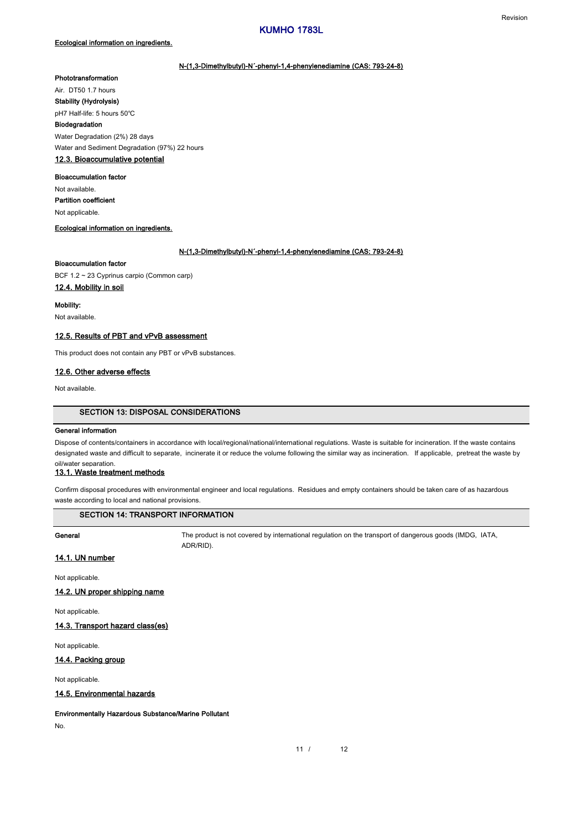### N-(1,3-Dimethylbutyl)-N´-phenyl-1,4-phenylenediamine (CAS: 793-24-8)

# Phototransformation

Air. DT50 1.7 hours

Stability (Hydrolysis) pH7 Half-life: 5 hours 50℃

# Biodegradation

Water Degradation (2%) 28 days Water and Sediment Degradation (97%) 22 hours

# 12.3. Bioaccumulative potential

# Bioaccumulation factor

Not applicable. Not available. Partition coefficient

### Ecological information on ingredients.

### N-(1,3-Dimethylbutyl)-N´-phenyl-1,4-phenylenediamine (CAS: 793-24-8)

### Bioaccumulation factor

BCF 1.2 ~ 23 Cyprinus carpio (Common carp)

# 12.4. Mobility in soil

Mobility:

Not available.

### 12.5. Results of PBT and vPvB assessment

This product does not contain any PBT or vPvB substances.

# 12.6. Other adverse effects

Not available.

### SECTION 13: DISPOSAL CONSIDERATIONS

# General information

Dispose of contents/containers in accordance with local/regional/national/international regulations. Waste is suitable for incineration. If the waste contains designated waste and difficult to separate, incinerate it or reduce the volume following the similar way as incineration. If applicable, pretreat the waste by oil/water separation.

### 13.1. Waste treatment methods

Confirm disposal procedures with environmental engineer and local regulations. Residues and empty containers should be taken care of as hazardous waste according to local and national provisions.

# SECTION 14: TRANSPORT INFORMATION

General Superal The product is not covered by international regulation on the transport of dangerous goods (IMDG, IATA, ADR/RID).

# 14.1. UN number

Not applicable.

### 14.2. UN proper shipping name

Not applicable.

14.3. Transport hazard class(es)

Not applicable.

### 14.4. Packing group

Not applicable.

### 14.5. Environmental hazards

Environmentally Hazardous Substance/Marine Pollutant

No.